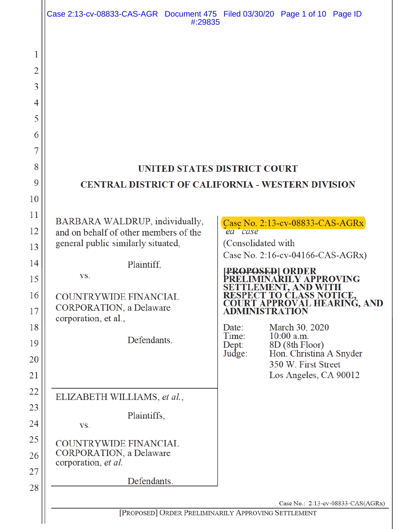| Case 2:13-cv-08833-CAS-AGR Document 475 Filed 03/30/20 Page 1 of 10 Page ID<br>#:29835                                                                                                                                                |                                                                       |                                                                                                                                                                                                                                                                                                    |
|---------------------------------------------------------------------------------------------------------------------------------------------------------------------------------------------------------------------------------------|-----------------------------------------------------------------------|----------------------------------------------------------------------------------------------------------------------------------------------------------------------------------------------------------------------------------------------------------------------------------------------------|
| UNITED STATES DISTRICT COURT<br><b>CENTRAL DISTRICT OF CALIFORNIA - WESTERN DIVISION</b>                                                                                                                                              |                                                                       |                                                                                                                                                                                                                                                                                                    |
| BARBARA WALDRUP, individually,<br>and on behalf of other members of the<br>general public similarly situated,<br>Plaintiff,<br>VS.<br>COUNTRYWIDE FINANCIAL<br><b>CORPORATION</b> , a Delaware<br>corporation, et al.,<br>Defendants. | ea case<br>(Consolidated with<br>Date:<br>Time:<br>$Dept$ :<br>Judge: | Case No. 2:13-cv-08833-CAS-AGRx<br>Case No. 2:16-cv-04166-CAS-AGRx)<br>PROVING<br>RESPECT TO CLASS NOTICE.<br><b>COURT APPROVAL HEARING, AND<br/>ADMINISTRATION</b><br>March 30, 2020<br>$10:00$ a.m.<br>8D (8th Floor)<br>Hon. Christina A Snyder<br>350 W. First Street<br>Los Angeles, CA 90012 |
| ELIZABETH WILLIAMS, et al.,<br>Plaintiffs,<br>VS.<br><b>COUNTRYWIDE FINANCIAL</b><br><b>CORPORATION</b> , a Delaware<br>corporation, et al.<br>Defendants.                                                                            |                                                                       |                                                                                                                                                                                                                                                                                                    |
| Case No.: 2:13-cv-08833-CAS(AGRx)<br>[PROPOSED] ORDER PRELIMINARILY APPROVING SETTLEMENT                                                                                                                                              |                                                                       |                                                                                                                                                                                                                                                                                                    |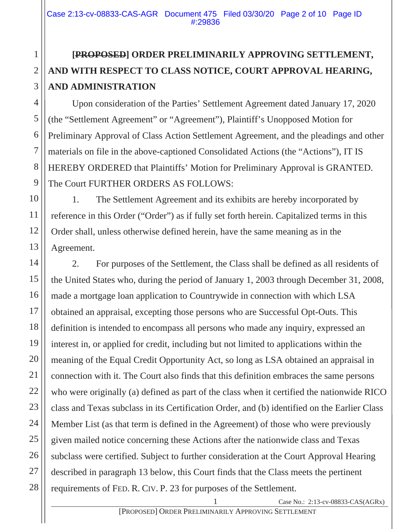# **[PROPOSED] ORDER PRELIMINARILY APPROVING SETTLEMENT, AND WITH RESPECT TO CLASS NOTICE, COURT APPROVAL HEARING, AND ADMINISTRATION**

Upon consideration of the Parties' Settlement Agreement dated January 17, 2020 (the "Settlement Agreement" or "Agreement"), Plaintiff's Unopposed Motion for Preliminary Approval of Class Action Settlement Agreement, and the pleadings and other materials on file in the above-captioned Consolidated Actions (the "Actions"), IT IS HEREBY ORDERED that Plaintiffs' Motion for Preliminary Approval is GRANTED. The Court FURTHER ORDERS AS FOLLOWS:

1. The Settlement Agreement and its exhibits are hereby incorporated by reference in this Order ("Order") as if fully set forth herein. Capitalized terms in this Order shall, unless otherwise defined herein, have the same meaning as in the Agreement.

2. For purposes of the Settlement, the Class shall be defined as all residents of the United States who, during the period of January 1, 2003 through December 31, 2008, made a mortgage loan application to Countrywide in connection with which LSA obtained an appraisal, excepting those persons who are Successful Opt-Outs. This definition is intended to encompass all persons who made any inquiry, expressed an interest in, or applied for credit, including but not limited to applications within the meaning of the Equal Credit Opportunity Act, so long as LSA obtained an appraisal in connection with it. The Court also finds that this definition embraces the same persons who were originally (a) defined as part of the class when it certified the nationwide RICO class and Texas subclass in its Certification Order, and (b) identified on the Earlier Class Member List (as that term is defined in the Agreement) of those who were previously given mailed notice concerning these Actions after the nationwide class and Texas subclass were certified. Subject to further consideration at the Court Approval Hearing described in paragraph 13 below, this Court finds that the Class meets the pertinent requirements of FED. R. CIV. P. 23 for purposes of the Settlement.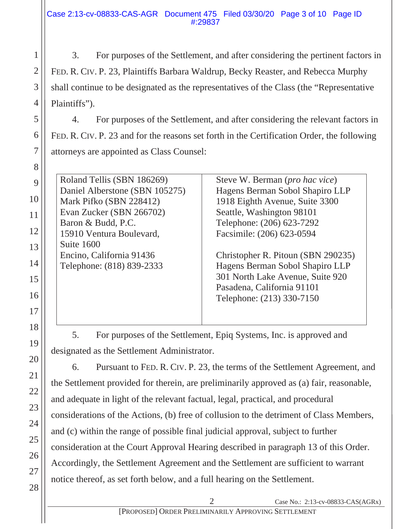3. For purposes of the Settlement, and after considering the pertinent factors in FED. R. CIV. P. 23, Plaintiffs Barbara Waldrup, Becky Reaster, and Rebecca Murphy shall continue to be designated as the representatives of the Class (the "Representative Plaintiffs").

4. For purposes of the Settlement, and after considering the relevant factors in FED. R. CIV. P. 23 and for the reasons set forth in the Certification Order, the following attorneys are appointed as Class Counsel:

Roland Tellis (SBN 186269) Daniel Alberstone (SBN 105275) Mark Pifko (SBN 228412) Evan Zucker (SBN 266702) Baron & Budd, P.C. 15910 Ventura Boulevard, Suite 1600 Encino, California 91436 Telephone: (818) 839-2333

Steve W. Berman (*pro hac vice*) Hagens Berman Sobol Shapiro LLP 1918 Eighth Avenue, Suite 3300 Seattle, Washington 98101 Telephone: (206) 623-7292 Facsimile: (206) 623-0594

Christopher R. Pitoun (SBN 290235) Hagens Berman Sobol Shapiro LLP 301 North Lake Avenue, Suite 920 Pasadena, California 91101 Telephone: (213) 330-7150

5. For purposes of the Settlement, Epiq Systems, Inc. is approved and designated as the Settlement Administrator.

6. Pursuant to FED. R. CIV. P. 23, the terms of the Settlement Agreement, and the Settlement provided for therein, are preliminarily approved as (a) fair, reasonable, and adequate in light of the relevant factual, legal, practical, and procedural considerations of the Actions, (b) free of collusion to the detriment of Class Members, and (c) within the range of possible final judicial approval, subject to further consideration at the Court Approval Hearing described in paragraph 13 of this Order. Accordingly, the Settlement Agreement and the Settlement are sufficient to warrant notice thereof, as set forth below, and a full hearing on the Settlement.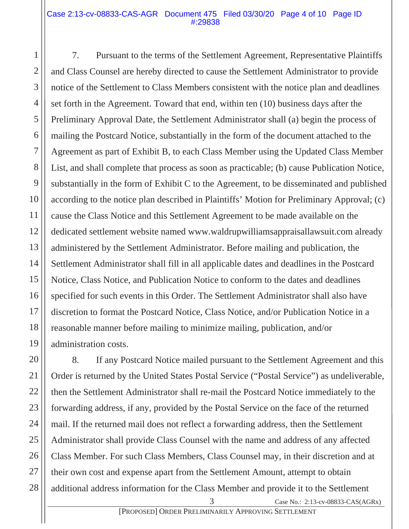## Case 2:13-cv-08833-CAS-AGR Document 475 Filed 03/30/20 Page 4 of 10 Page ID #:29838

7. Pursuant to the terms of the Settlement Agreement, Representative Plaintiffs and Class Counsel are hereby directed to cause the Settlement Administrator to provide notice of the Settlement to Class Members consistent with the notice plan and deadlines set forth in the Agreement. Toward that end, within ten (10) business days after the Preliminary Approval Date, the Settlement Administrator shall (a) begin the process of mailing the Postcard Notice, substantially in the form of the document attached to the Agreement as part of Exhibit B, to each Class Member using the Updated Class Member List, and shall complete that process as soon as practicable; (b) cause Publication Notice, substantially in the form of Exhibit C to the Agreement, to be disseminated and published according to the notice plan described in Plaintiffs' Motion for Preliminary Approval; (c) cause the Class Notice and this Settlement Agreement to be made available on the dedicated settlement website named www.waldrupwilliamsappraisallawsuit.com already administered by the Settlement Administrator. Before mailing and publication, the Settlement Administrator shall fill in all applicable dates and deadlines in the Postcard Notice, Class Notice, and Publication Notice to conform to the dates and deadlines specified for such events in this Order. The Settlement Administrator shall also have discretion to format the Postcard Notice, Class Notice, and/or Publication Notice in a reasonable manner before mailing to minimize mailing, publication, and/or administration costs.

8. If any Postcard Notice mailed pursuant to the Settlement Agreement and this Order is returned by the United States Postal Service ("Postal Service") as undeliverable, then the Settlement Administrator shall re-mail the Postcard Notice immediately to the forwarding address, if any, provided by the Postal Service on the face of the returned mail. If the returned mail does not reflect a forwarding address, then the Settlement Administrator shall provide Class Counsel with the name and address of any affected Class Member. For such Class Members, Class Counsel may, in their discretion and at their own cost and expense apart from the Settlement Amount, attempt to obtain additional address information for the Class Member and provide it to the Settlement

1

2

3

4

Case No.: 2:13-cv-08833-CAS(AGRx)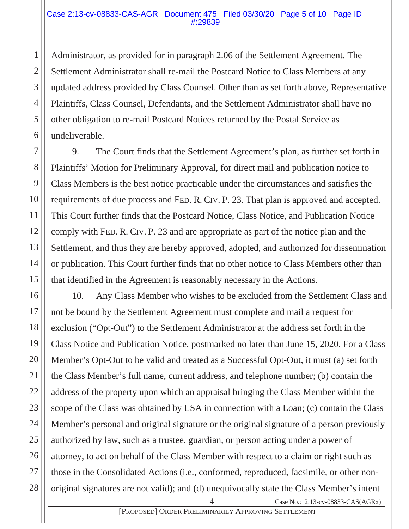#### Case 2:13-cv-08833-CAS-AGR Document 475 Filed 03/30/20 Page 5 of 10 Page ID #:29839

Administrator, as provided for in paragraph 2.06 of the Settlement Agreement. The Settlement Administrator shall re-mail the Postcard Notice to Class Members at any updated address provided by Class Counsel. Other than as set forth above, Representative Plaintiffs, Class Counsel, Defendants, and the Settlement Administrator shall have no other obligation to re-mail Postcard Notices returned by the Postal Service as undeliverable.

9. The Court finds that the Settlement Agreement's plan, as further set forth in Plaintiffs' Motion for Preliminary Approval, for direct mail and publication notice to Class Members is the best notice practicable under the circumstances and satisfies the requirements of due process and FED. R. CIV. P. 23. That plan is approved and accepted. This Court further finds that the Postcard Notice, Class Notice, and Publication Notice comply with FED. R. CIV. P. 23 and are appropriate as part of the notice plan and the Settlement, and thus they are hereby approved, adopted, and authorized for dissemination or publication. This Court further finds that no other notice to Class Members other than that identified in the Agreement is reasonably necessary in the Actions.

Case No.: 2:13-cv-08833-CAS(AGRx) 10. Any Class Member who wishes to be excluded from the Settlement Class and not be bound by the Settlement Agreement must complete and mail a request for exclusion ("Opt-Out") to the Settlement Administrator at the address set forth in the Class Notice and Publication Notice, postmarked no later than June 15, 2020. For a Class Member's Opt-Out to be valid and treated as a Successful Opt-Out, it must (a) set forth the Class Member's full name, current address, and telephone number; (b) contain the address of the property upon which an appraisal bringing the Class Member within the scope of the Class was obtained by LSA in connection with a Loan; (c) contain the Class Member's personal and original signature or the original signature of a person previously authorized by law, such as a trustee, guardian, or person acting under a power of attorney, to act on behalf of the Class Member with respect to a claim or right such as those in the Consolidated Actions (i.e., conformed, reproduced, facsimile, or other nonoriginal signatures are not valid); and (d) unequivocally state the Class Member's intent

[PROPOSED] ORDER PRELIMINARILY APPROVING SETTLEMENT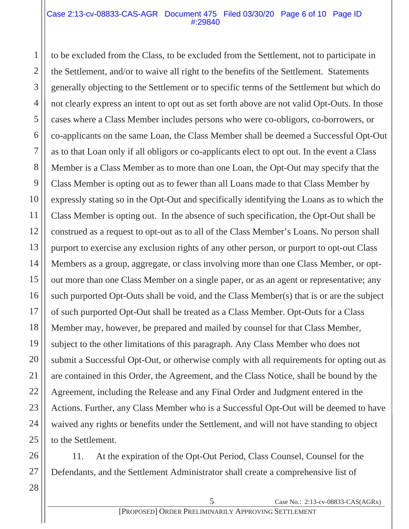## Case 2:13-cv-08833-CAS-AGR Document 475 Filed 03/30/20 Page 6 of 10 Page ID #:29840

to be excluded from the Class, to be excluded from the Settlement, not to participate in the Settlement, and/or to waive all right to the benefits of the Settlement. Statements generally objecting to the Settlement or to specific terms of the Settlement but which do not clearly express an intent to opt out as set forth above are not valid Opt-Outs. In those cases where a Class Member includes persons who were co-obligors, co-borrowers, or co-applicants on the same Loan, the Class Member shall be deemed a Successful Opt-Out as to that Loan only if all obligors or co-applicants elect to opt out. In the event a Class Member is a Class Member as to more than one Loan, the Opt-Out may specify that the Class Member is opting out as to fewer than all Loans made to that Class Member by expressly stating so in the Opt-Out and specifically identifying the Loans as to which the Class Member is opting out. In the absence of such specification, the Opt-Out shall be construed as a request to opt-out as to all of the Class Member's Loans. No person shall purport to exercise any exclusion rights of any other person, or purport to opt-out Class Members as a group, aggregate, or class involving more than one Class Member, or optout more than one Class Member on a single paper, or as an agent or representative; any such purported Opt-Outs shall be void, and the Class Member(s) that is or are the subject of such purported Opt-Out shall be treated as a Class Member. Opt-Outs for a Class Member may, however, be prepared and mailed by counsel for that Class Member, subject to the other limitations of this paragraph. Any Class Member who does not submit a Successful Opt-Out, or otherwise comply with all requirements for opting out as are contained in this Order, the Agreement, and the Class Notice, shall be bound by the Agreement, including the Release and any Final Order and Judgment entered in the Actions. Further, any Class Member who is a Successful Opt-Out will be deemed to have waived any rights or benefits under the Settlement, and will not have standing to object to the Settlement.

11. At the expiration of the Opt-Out Period, Class Counsel, Counsel for the Defendants, and the Settlement Administrator shall create a comprehensive list of

27 28

1

2

3

4

5

6

7

8

9

10

11

12

13

14

15

16

17

18

19

20

21

22

23

24

25

26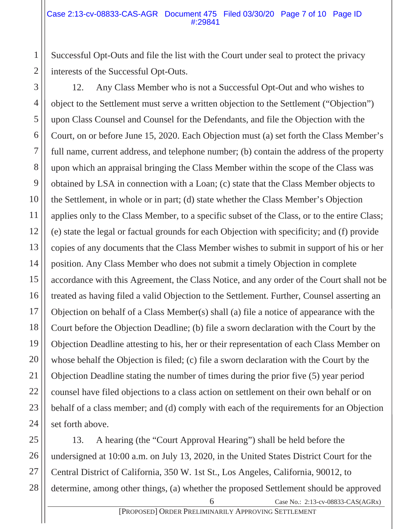Successful Opt-Outs and file the list with the Court under seal to protect the privacy interests of the Successful Opt-Outs.

12. Any Class Member who is not a Successful Opt-Out and who wishes to object to the Settlement must serve a written objection to the Settlement ("Objection") upon Class Counsel and Counsel for the Defendants, and file the Objection with the Court, on or before June 15, 2020. Each Objection must (a) set forth the Class Member's full name, current address, and telephone number; (b) contain the address of the property upon which an appraisal bringing the Class Member within the scope of the Class was obtained by LSA in connection with a Loan; (c) state that the Class Member objects to the Settlement, in whole or in part; (d) state whether the Class Member's Objection applies only to the Class Member, to a specific subset of the Class, or to the entire Class; (e) state the legal or factual grounds for each Objection with specificity; and (f) provide copies of any documents that the Class Member wishes to submit in support of his or her position. Any Class Member who does not submit a timely Objection in complete accordance with this Agreement, the Class Notice, and any order of the Court shall not be treated as having filed a valid Objection to the Settlement. Further, Counsel asserting an Objection on behalf of a Class Member(s) shall (a) file a notice of appearance with the Court before the Objection Deadline; (b) file a sworn declaration with the Court by the Objection Deadline attesting to his, her or their representation of each Class Member on whose behalf the Objection is filed; (c) file a sworn declaration with the Court by the Objection Deadline stating the number of times during the prior five (5) year period counsel have filed objections to a class action on settlement on their own behalf or on behalf of a class member; and (d) comply with each of the requirements for an Objection set forth above.

6 Case No.: 2:13-cv-08833-CAS(AGRx) 13. A hearing (the "Court Approval Hearing") shall be held before the undersigned at 10:00 a.m. on July 13, 2020, in the United States District Court for the Central District of California, 350 W. 1st St., Los Angeles, California, 90012, to determine, among other things, (a) whether the proposed Settlement should be approved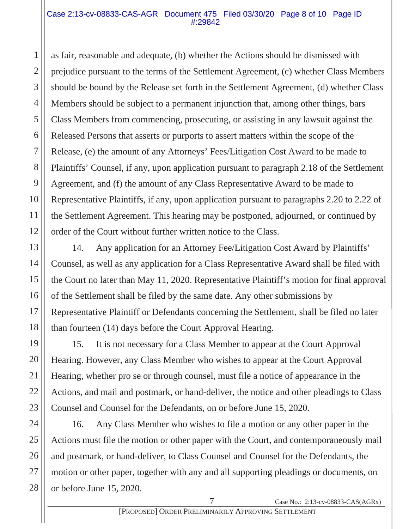#### Case 2:13-cv-08833-CAS-AGR Document 475 Filed 03/30/20 Page 8 of 10 Page ID #:29842

as fair, reasonable and adequate, (b) whether the Actions should be dismissed with prejudice pursuant to the terms of the Settlement Agreement, (c) whether Class Members should be bound by the Release set forth in the Settlement Agreement, (d) whether Class Members should be subject to a permanent injunction that, among other things, bars Class Members from commencing, prosecuting, or assisting in any lawsuit against the Released Persons that asserts or purports to assert matters within the scope of the Release, (e) the amount of any Attorneys' Fees/Litigation Cost Award to be made to Plaintiffs' Counsel, if any, upon application pursuant to paragraph 2.18 of the Settlement Agreement, and (f) the amount of any Class Representative Award to be made to Representative Plaintiffs, if any, upon application pursuant to paragraphs 2.20 to 2.22 of the Settlement Agreement. This hearing may be postponed, adjourned, or continued by order of the Court without further written notice to the Class.

14. Any application for an Attorney Fee/Litigation Cost Award by Plaintiffs' Counsel, as well as any application for a Class Representative Award shall be filed with the Court no later than May 11, 2020. Representative Plaintiff's motion for final approval of the Settlement shall be filed by the same date. Any other submissions by Representative Plaintiff or Defendants concerning the Settlement, shall be filed no later than fourteen (14) days before the Court Approval Hearing.

15. It is not necessary for a Class Member to appear at the Court Approval Hearing. However, any Class Member who wishes to appear at the Court Approval Hearing, whether pro se or through counsel, must file a notice of appearance in the Actions, and mail and postmark, or hand-deliver, the notice and other pleadings to Class Counsel and Counsel for the Defendants, on or before June 15, 2020.

16. Any Class Member who wishes to file a motion or any other paper in the Actions must file the motion or other paper with the Court, and contemporaneously mail and postmark, or hand-deliver, to Class Counsel and Counsel for the Defendants, the motion or other paper, together with any and all supporting pleadings or documents, on or before June 15, 2020.

1

2

3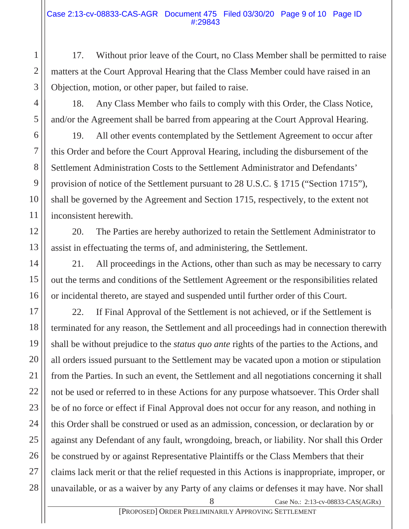17. Without prior leave of the Court, no Class Member shall be permitted to raise matters at the Court Approval Hearing that the Class Member could have raised in an Objection, motion, or other paper, but failed to raise.

18. Any Class Member who fails to comply with this Order, the Class Notice, and/or the Agreement shall be barred from appearing at the Court Approval Hearing.

19. All other events contemplated by the Settlement Agreement to occur after this Order and before the Court Approval Hearing, including the disbursement of the Settlement Administration Costs to the Settlement Administrator and Defendants' provision of notice of the Settlement pursuant to 28 U.S.C. § 1715 ("Section 1715"), shall be governed by the Agreement and Section 1715, respectively, to the extent not inconsistent herewith.

20. The Parties are hereby authorized to retain the Settlement Administrator to assist in effectuating the terms of, and administering, the Settlement.

21. All proceedings in the Actions, other than such as may be necessary to carry out the terms and conditions of the Settlement Agreement or the responsibilities related or incidental thereto, are stayed and suspended until further order of this Court.

22. If Final Approval of the Settlement is not achieved, or if the Settlement is terminated for any reason, the Settlement and all proceedings had in connection therewith shall be without prejudice to the *status quo ante* rights of the parties to the Actions, and all orders issued pursuant to the Settlement may be vacated upon a motion or stipulation from the Parties. In such an event, the Settlement and all negotiations concerning it shall not be used or referred to in these Actions for any purpose whatsoever. This Order shall be of no force or effect if Final Approval does not occur for any reason, and nothing in this Order shall be construed or used as an admission, concession, or declaration by or against any Defendant of any fault, wrongdoing, breach, or liability. Nor shall this Order be construed by or against Representative Plaintiffs or the Class Members that their claims lack merit or that the relief requested in this Actions is inappropriate, improper, or unavailable, or as a waiver by any Party of any claims or defenses it may have. Nor shall

Case No.: 2:13-cv-08833-CAS(AGRx)